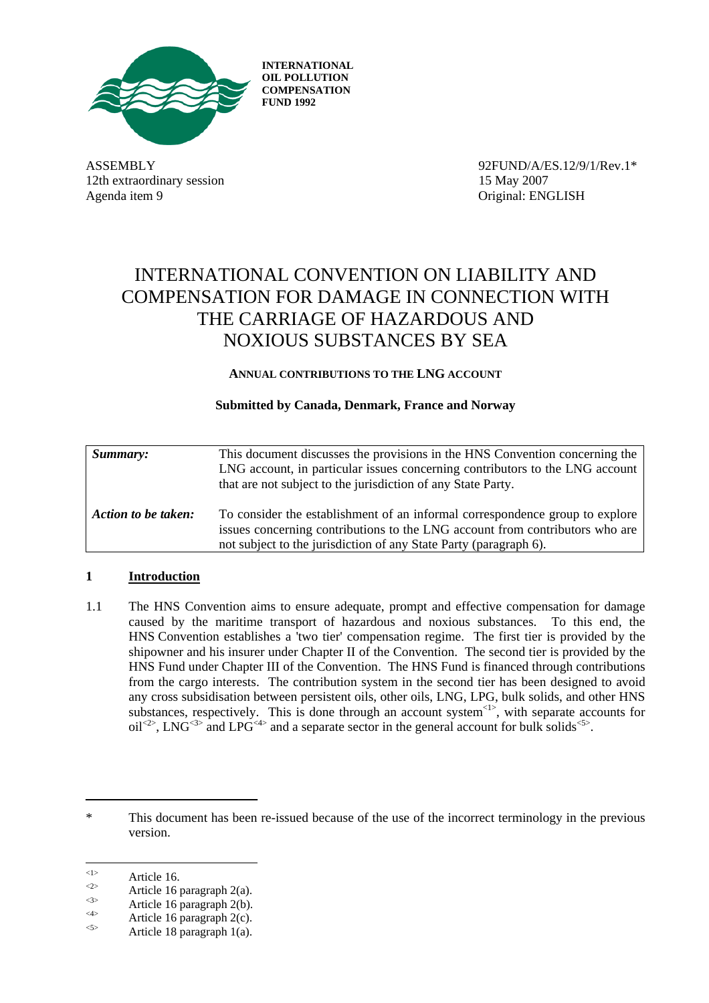

**INTERNATIONAL OIL POLLUTION COMPENSATION FUND 1992** 

12th extraordinary session 15 May 2007 Agenda item 9 Original: ENGLISH

ASSEMBLY 92FUND/A/ES.12/9/1/Rev.1\*

# INTERNATIONAL CONVENTION ON LIABILITY AND COMPENSATION FOR DAMAGE IN CONNECTION WITH THE CARRIAGE OF HAZARDOUS AND NOXIOUS SUBSTANCES BY SEA

**ANNUAL CONTRIBUTIONS TO THE LNG ACCOUNT** 

# **Submitted by Canada, Denmark, France and Norway**

| Summary:            | This document discusses the provisions in the HNS Convention concerning the<br>LNG account, in particular issues concerning contributors to the LNG account<br>that are not subject to the jurisdiction of any State Party.       |
|---------------------|-----------------------------------------------------------------------------------------------------------------------------------------------------------------------------------------------------------------------------------|
| Action to be taken: | To consider the establishment of an informal correspondence group to explore<br>issues concerning contributions to the LNG account from contributors who are<br>not subject to the jurisdiction of any State Party (paragraph 6). |

# **1 Introduction**

1.1 The HNS Convention aims to ensure adequate, prompt and effective compensation for damage caused by the maritime transport of hazardous and noxious substances. To this end, the HNS Convention establishes a 'two tier' compensation regime. The first tier is provided by the shipowner and his insurer under Chapter II of the Convention. The second tier is provided by the HNS Fund under Chapter III of the Convention. The HNS Fund is financed through contributions from the cargo interests. The contribution system in the second tier has been designed to avoid any cross subsidisation between persistent oils, other oils, LNG, LPG, bulk solids, and other HNS substances, respectively. This is done through an account system  $\leq$  , with separate accounts for  $\delta$  oil<sup> $4$ </sup>, LNG<sup>-3</sup> and LPG<sup>-4</sup> and a separate sector in the general account for bulk solids<sup>-55</sup>.

<sup>\*</sup> This document has been re-issued because of the use of the incorrect terminology in the previous version.

 $\langle 1 \rangle$ 

Article 16.<br>  $\begin{array}{ll}\n\text{4} & \text{Article 16 paragraph 2(a).} \\
\text{5} & \text{Article 16 paragraph 2(b).} \\
\text{6} & \text{Article 16 paragraph 2(c).} \\
\text{6} & \text{Article 18 paragraph 1(a).}\n\end{array}$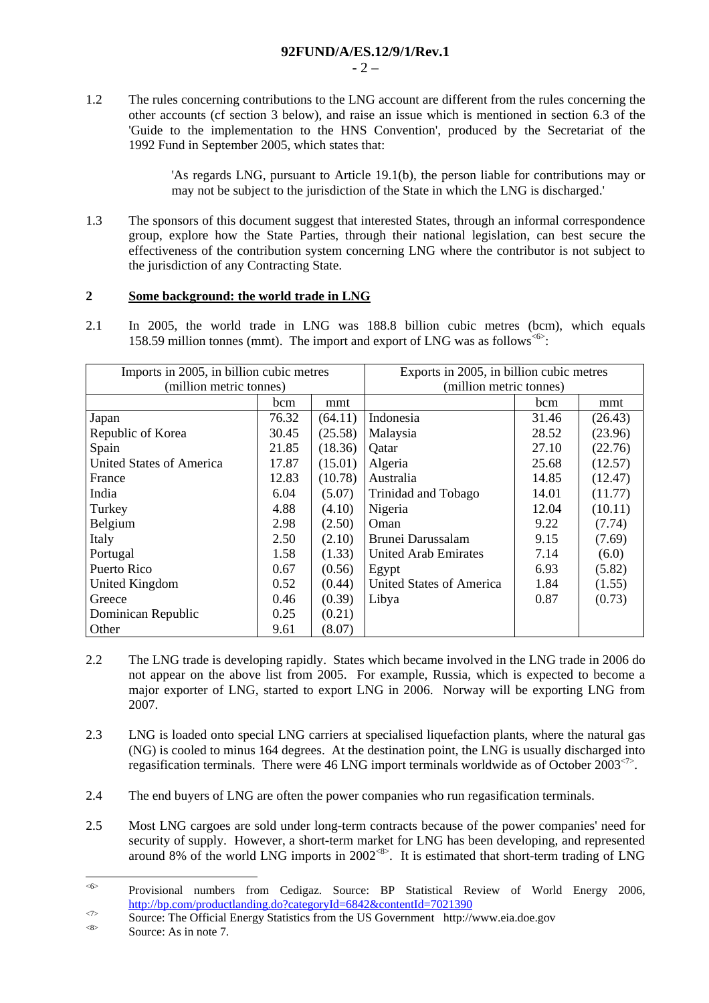$-2 -$ 

1.2 The rules concerning contributions to the LNG account are different from the rules concerning the other accounts (cf section 3 below), and raise an issue which is mentioned in section 6.3 of the 'Guide to the implementation to the HNS Convention', produced by the Secretariat of the 1992 Fund in September 2005, which states that:

> 'As regards LNG, pursuant to Article 19.1(b), the person liable for contributions may or may not be subject to the jurisdiction of the State in which the LNG is discharged.'

1.3 The sponsors of this document suggest that interested States, through an informal correspondence group, explore how the State Parties, through their national legislation, can best secure the effectiveness of the contribution system concerning LNG where the contributor is not subject to the jurisdiction of any Contracting State.

## **2 Some background: the world trade in LNG**

2.1 In 2005, the world trade in LNG was 188.8 billion cubic metres (bcm), which equals 158.59 million tonnes (mmt). The import and export of LNG was as follows<sup> $65$ </sup>:

| Imports in 2005, in billion cubic metres |       | Exports in 2005, in billion cubic metres |                             |       |         |
|------------------------------------------|-------|------------------------------------------|-----------------------------|-------|---------|
| (million metric tonnes)                  |       | (million metric tonnes)                  |                             |       |         |
|                                          | bcm   | mmt                                      |                             | bcm   | mmt     |
| Japan                                    | 76.32 | (64.11)                                  | Indonesia                   | 31.46 | (26.43) |
| Republic of Korea                        | 30.45 | (25.58)                                  | Malaysia                    | 28.52 | (23.96) |
| Spain                                    | 21.85 | (18.36)                                  | <b>Oatar</b>                | 27.10 | (22.76) |
| <b>United States of America</b>          | 17.87 | (15.01)                                  | Algeria                     | 25.68 | (12.57) |
| France                                   | 12.83 | (10.78)                                  | Australia                   | 14.85 | (12.47) |
| India                                    | 6.04  | (5.07)                                   | Trinidad and Tobago         | 14.01 | (11.77) |
| Turkey                                   | 4.88  | (4.10)                                   | Nigeria                     | 12.04 | (10.11) |
| Belgium                                  | 2.98  | (2.50)                                   | Oman                        | 9.22  | (7.74)  |
| Italy                                    | 2.50  | (2.10)                                   | Brunei Darussalam           | 9.15  | (7.69)  |
| Portugal                                 | 1.58  | (1.33)                                   | <b>United Arab Emirates</b> | 7.14  | (6.0)   |
| Puerto Rico                              | 0.67  | (0.56)                                   | Egypt                       | 6.93  | (5.82)  |
| United Kingdom                           | 0.52  | (0.44)                                   | United States of America    | 1.84  | (1.55)  |
| Greece                                   | 0.46  | (0.39)                                   | Libya                       | 0.87  | (0.73)  |
| Dominican Republic                       | 0.25  | (0.21)                                   |                             |       |         |
| Other                                    | 9.61  | (8.07)                                   |                             |       |         |

- 2.2 The LNG trade is developing rapidly. States which became involved in the LNG trade in 2006 do not appear on the above list from 2005. For example, Russia, which is expected to become a major exporter of LNG, started to export LNG in 2006. Norway will be exporting LNG from 2007.
- 2.3 LNG is loaded onto special LNG carriers at specialised liquefaction plants, where the natural gas (NG) is cooled to minus 164 degrees. At the destination point, the LNG is usually discharged into regasification terminals. There were 46 LNG import terminals worldwide as of October 2003<sup> $\sim$ .</sup>
- 2.4 The end buyers of LNG are often the power companies who run regasification terminals.
- 2.5 Most LNG cargoes are sold under long-term contracts because of the power companies' need for security of supply. However, a short-term market for LNG has been developing, and represented around 8% of the world LNG imports in 2002<sup>-88</sup>. It is estimated that short-term trading of LNG

 $\leq 6$ Provisional numbers from Cedigaz. Source: BP Statistical Review of World Energy 2006,  $\frac{\text{http://bp.com/productanding.do?categoryId=6842&contentId=7021390}}{\text{Source: The Official Energy Statistics from the US Government <http://www.eia.doe.gov>}}$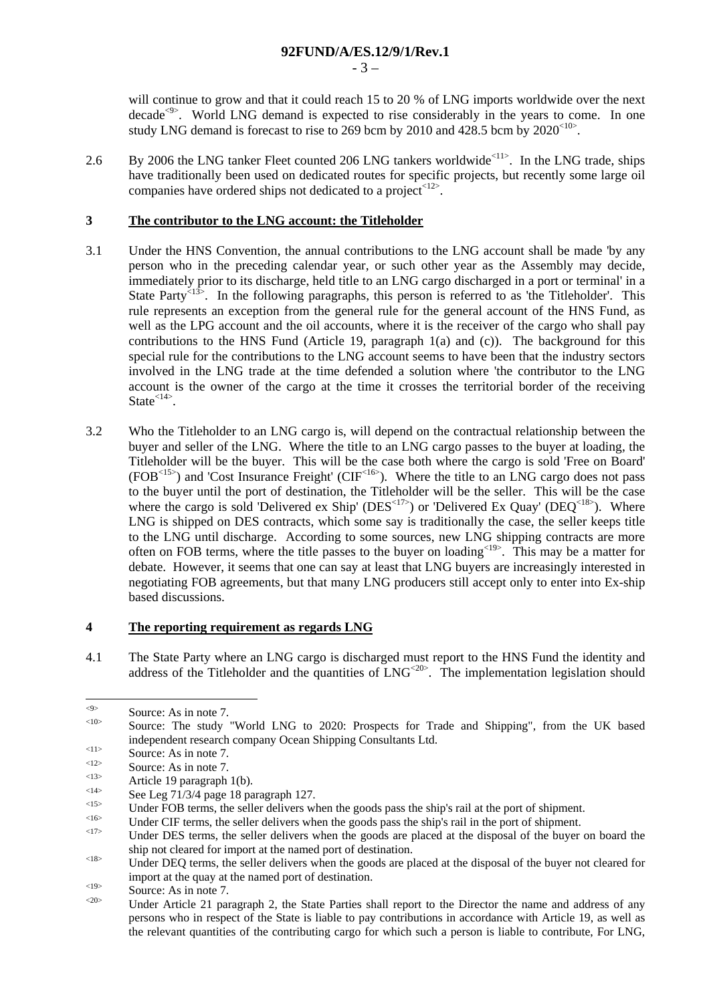- 3 –

will continue to grow and that it could reach 15 to 20 % of LNG imports worldwide over the next decade<sup><9></sup>. World LNG demand is expected to rise considerably in the years to come. In one study LNG demand is forecast to rise to 269 bcm by 2010 and 428.5 bcm by  $2020^{\text{10}}$ .

2.6 By 2006 the LNG tanker Fleet counted 206 LNG tankers worldwide<sup><11></sup>. In the LNG trade, ships have traditionally been used on dedicated routes for specific projects, but recently some large oil companies have ordered ships not dedicated to a project<12>.

## **3 The contributor to the LNG account: the Titleholder**

- 3.1 Under the HNS Convention, the annual contributions to the LNG account shall be made 'by any person who in the preceding calendar year, or such other year as the Assembly may decide, immediately prior to its discharge, held title to an LNG cargo discharged in a port or terminal' in a State Party<sup><13</sup>>. In the following paragraphs, this person is referred to as 'the Titleholder'. This rule represents an exception from the general rule for the general account of the HNS Fund, as well as the LPG account and the oil accounts, where it is the receiver of the cargo who shall pay contributions to the HNS Fund (Article 19, paragraph 1(a) and (c)). The background for this special rule for the contributions to the LNG account seems to have been that the industry sectors involved in the LNG trade at the time defended a solution where 'the contributor to the LNG account is the owner of the cargo at the time it crosses the territorial border of the receiving State<sup><14></sup>.
- 3.2 Who the Titleholder to an LNG cargo is, will depend on the contractual relationship between the buyer and seller of the LNG. Where the title to an LNG cargo passes to the buyer at loading, the Titleholder will be the buyer. This will be the case both where the cargo is sold 'Free on Board'  $(FOB^{<15>})$  and 'Cost Insurance Freight' (CIF<sup><16></sup>). Where the title to an LNG cargo does not pass to the buyer until the port of destination, the Titleholder will be the seller. This will be the case where the cargo is sold 'Delivered ex Ship' ( $DES<sup><17</sup>$ ) or 'Delivered Ex Quay' ( $DEQ<sup><18</sup>$ ). Where LNG is shipped on DES contracts, which some say is traditionally the case, the seller keeps title to the LNG until discharge. According to some sources, new LNG shipping contracts are more often on FOB terms, where the title passes to the buyer on loading  $\frac{19}{2}$ . This may be a matter for debate. However, it seems that one can say at least that LNG buyers are increasingly interested in negotiating FOB agreements, but that many LNG producers still accept only to enter into Ex-ship based discussions.

## **4 The reporting requirement as regards LNG**

4.1 The State Party where an LNG cargo is discharged must report to the HNS Fund the identity and address of the Titleholder and the quantities of  $\text{ING}^{20}$ . The implementation legislation should

 $\langle 9 \rangle$ 

Source: As in note 7.<br>
Source: The study "World LNG to 2020: Prospects for Trade and Shipping", from the UK based independent research company Ocean Shipping Consultants Ltd.<br>
Source: As in note 7.<br>
Source: As in note 7.<br>
Source: As in note 7.<br>
Article 19 paragraph 1(b).<br>
See Leg 71/3/4 page 18 paragraph 127.<br>
Under FOB terms, the sel

ship not cleared for import at the named port of destination.<br>Under DEQ terms, the seller delivers when the goods are placed at the disposal of the buyer not cleared for

import at the quay at the named port of destination.

Source: As in note 7.<br>  $\frac{20}{5}$  Source: As in note 7.<br>
Under Article 21 paragraph 2, the State Parties shall report to the Director the name and address of any persons who in respect of the State is liable to pay contributions in accordance with Article 19, as well as the relevant quantities of the contributing cargo for which such a person is liable to contribute, For LNG,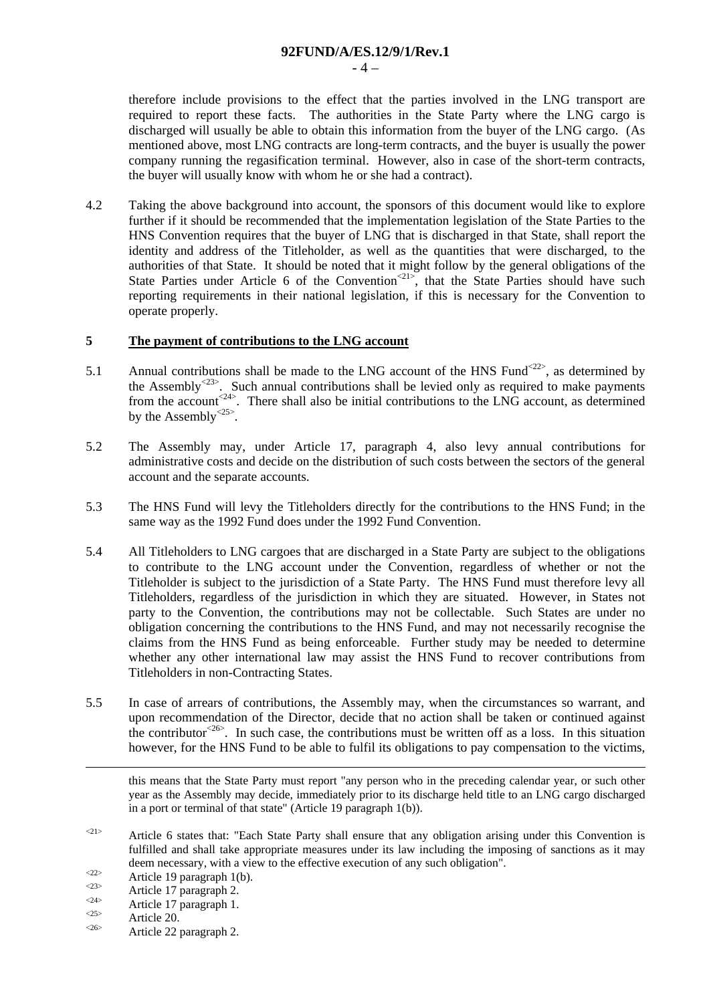**92FUND/A/ES.12/9/1/Rev.1** 

 $-4-$ 

therefore include provisions to the effect that the parties involved in the LNG transport are required to report these facts. The authorities in the State Party where the LNG cargo is discharged will usually be able to obtain this information from the buyer of the LNG cargo. (As mentioned above, most LNG contracts are long-term contracts, and the buyer is usually the power company running the regasification terminal. However, also in case of the short-term contracts, the buyer will usually know with whom he or she had a contract).

4.2 Taking the above background into account, the sponsors of this document would like to explore further if it should be recommended that the implementation legislation of the State Parties to the HNS Convention requires that the buyer of LNG that is discharged in that State, shall report the identity and address of the Titleholder, as well as the quantities that were discharged, to the authorities of that State. It should be noted that it might follow by the general obligations of the State Parties under Article 6 of the Convention<sup> $21$ </sup>, that the State Parties should have such reporting requirements in their national legislation, if this is necessary for the Convention to operate properly.

## **5 The payment of contributions to the LNG account**

- 5.1 Annual contributions shall be made to the LNG account of the HNS Fund<sup> $222$ </sup>, as determined by the Assembly<sup> $23$ </sup>. Such annual contributions shall be levied only as required to make payments from the account<sup><24></sup>. There shall also be initial contributions to the LNG account, as determined by the Assembly<sup> $25$ </sup>.
- 5.2 The Assembly may, under Article 17, paragraph 4, also levy annual contributions for administrative costs and decide on the distribution of such costs between the sectors of the general account and the separate accounts.
- 5.3 The HNS Fund will levy the Titleholders directly for the contributions to the HNS Fund; in the same way as the 1992 Fund does under the 1992 Fund Convention.
- 5.4 All Titleholders to LNG cargoes that are discharged in a State Party are subject to the obligations to contribute to the LNG account under the Convention, regardless of whether or not the Titleholder is subject to the jurisdiction of a State Party. The HNS Fund must therefore levy all Titleholders, regardless of the jurisdiction in which they are situated. However, in States not party to the Convention, the contributions may not be collectable. Such States are under no obligation concerning the contributions to the HNS Fund, and may not necessarily recognise the claims from the HNS Fund as being enforceable. Further study may be needed to determine whether any other international law may assist the HNS Fund to recover contributions from Titleholders in non-Contracting States.
- 5.5 In case of arrears of contributions, the Assembly may, when the circumstances so warrant, and upon recommendation of the Director, decide that no action shall be taken or continued against the contributor<sup> $26$ </sup>. In such case, the contributions must be written off as a loss. In this situation however, for the HNS Fund to be able to fulfil its obligations to pay compensation to the victims,

 this means that the State Party must report "any person who in the preceding calendar year, or such other year as the Assembly may decide, immediately prior to its discharge held title to an LNG cargo discharged in a port or terminal of that state" (Article 19 paragraph 1(b)).

 $\langle$ <sup>21></sup> Article 6 states that: "Each State Party shall ensure that any obligation arising under this Convention is fulfilled and shall take appropriate measures under its law including the imposing of sanctions as it may deem necessary, with a view to the effective execution of any such obligation".<br>
Article 19 paragraph 1(b).<br>
Article 17 paragraph 2.<br>
Article 17 paragraph 1.<br>
Article 20.<br>
Article 22 paragraph 2.